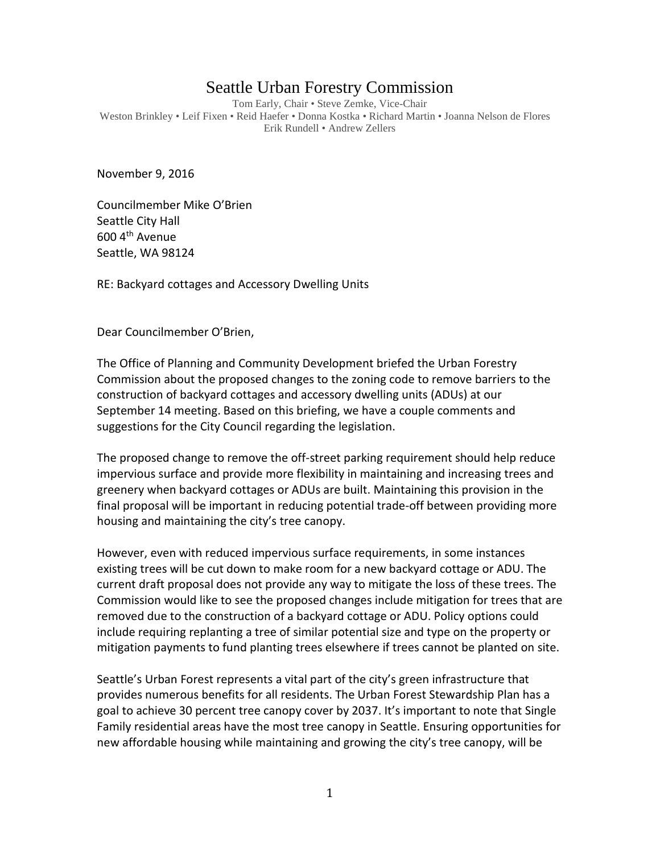## Seattle Urban Forestry Commission

Tom Early, Chair • Steve Zemke, Vice-Chair Weston Brinkley • Leif Fixen • Reid Haefer • Donna Kostka • Richard Martin • Joanna Nelson de Flores Erik Rundell • Andrew Zellers

November 9, 2016

Councilmember Mike O'Brien Seattle City Hall 600 4th Avenue Seattle, WA 98124

RE: Backyard cottages and Accessory Dwelling Units

Dear Councilmember O'Brien,

The Office of Planning and Community Development briefed the Urban Forestry Commission about the proposed changes to the zoning code to remove barriers to the construction of backyard cottages and accessory dwelling units (ADUs) at our September 14 meeting. Based on this briefing, we have a couple comments and suggestions for the City Council regarding the legislation.

The proposed change to remove the off-street parking requirement should help reduce impervious surface and provide more flexibility in maintaining and increasing trees and greenery when backyard cottages or ADUs are built. Maintaining this provision in the final proposal will be important in reducing potential trade-off between providing more housing and maintaining the city's tree canopy.

However, even with reduced impervious surface requirements, in some instances existing trees will be cut down to make room for a new backyard cottage or ADU. The current draft proposal does not provide any way to mitigate the loss of these trees. The Commission would like to see the proposed changes include mitigation for trees that are removed due to the construction of a backyard cottage or ADU. Policy options could include requiring replanting a tree of similar potential size and type on the property or mitigation payments to fund planting trees elsewhere if trees cannot be planted on site.

Seattle's Urban Forest represents a vital part of the city's green infrastructure that provides numerous benefits for all residents. The Urban Forest Stewardship Plan has a goal to achieve 30 percent tree canopy cover by 2037. It's important to note that Single Family residential areas have the most tree canopy in Seattle. Ensuring opportunities for new affordable housing while maintaining and growing the city's tree canopy, will be